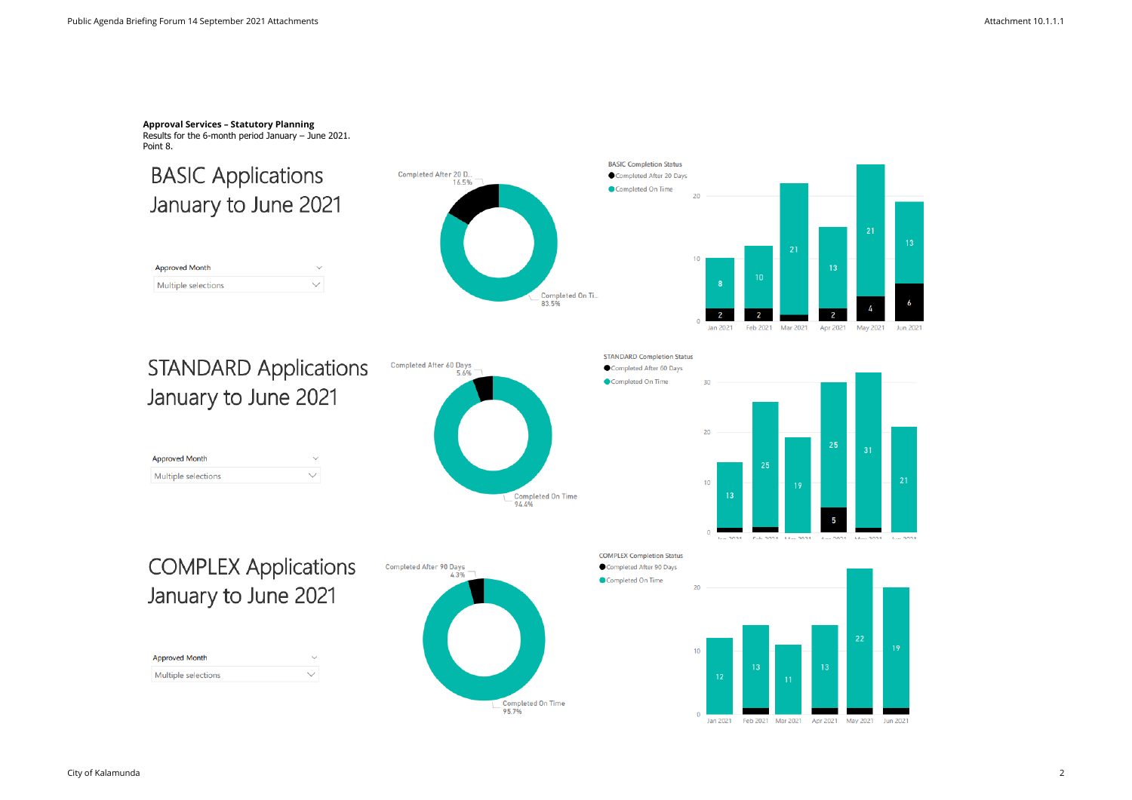**Approval Services – Statutory Planning** Results for the 6-month period January – June 2021. Point 8.

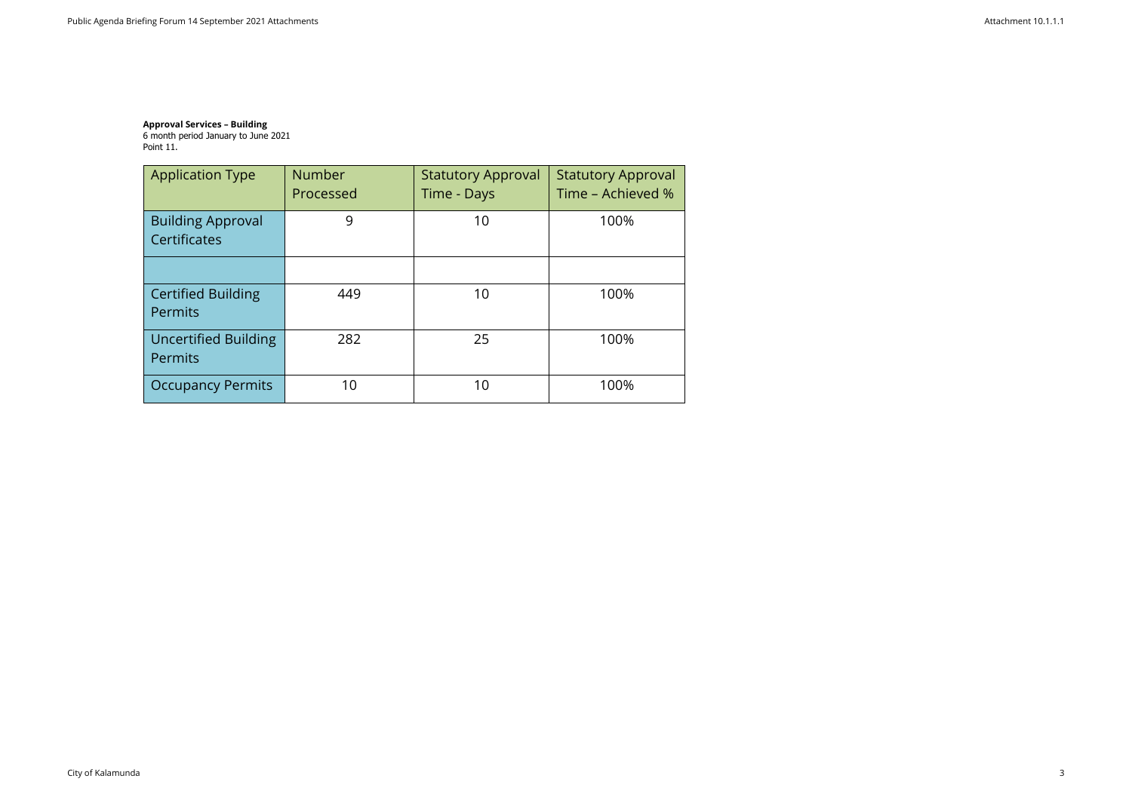### **Approval Services – Building** 6 month period January to June 2021 Point 11.

| <b>Application Type</b>                       | <b>Number</b><br>Processed | <b>Statutory Approval</b><br>Time - Days | <b>Statutory Approval</b><br>Time - Achieved % |
|-----------------------------------------------|----------------------------|------------------------------------------|------------------------------------------------|
| <b>Building Approval</b><br>Certificates      | 9                          | 10                                       | 100%                                           |
|                                               |                            |                                          |                                                |
| <b>Certified Building</b><br><b>Permits</b>   | 449                        | 10                                       | 100%                                           |
| <b>Uncertified Building</b><br><b>Permits</b> | 282                        | 25                                       | 100%                                           |
| <b>Occupancy Permits</b>                      | 10                         | 10                                       | 100%                                           |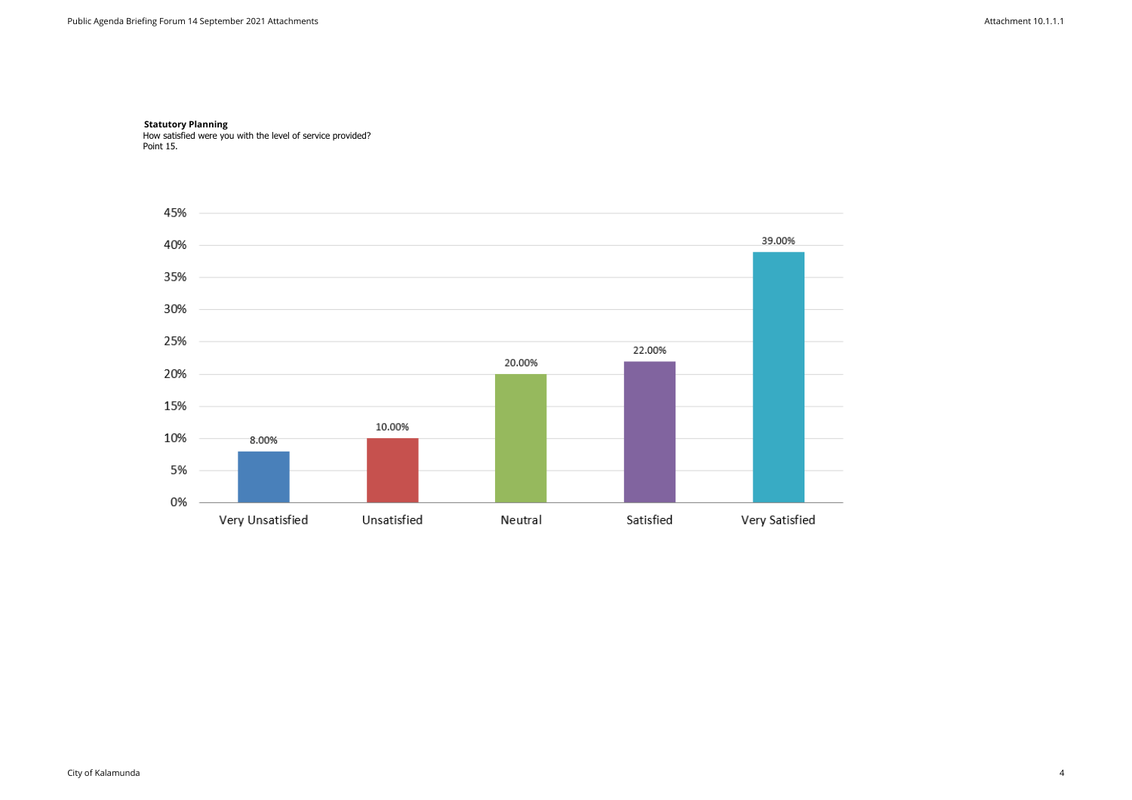### **Statutory Planning**  How satisfied were you with the level of service provided? Point 15.

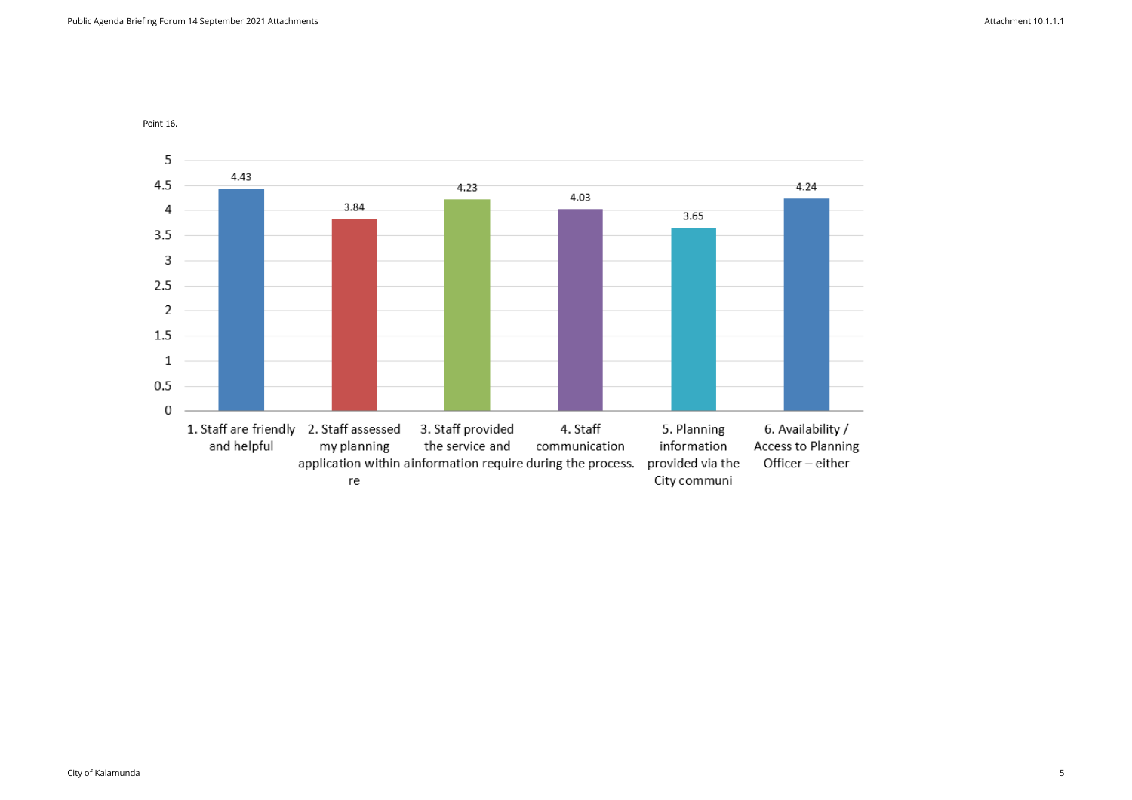

Point 16.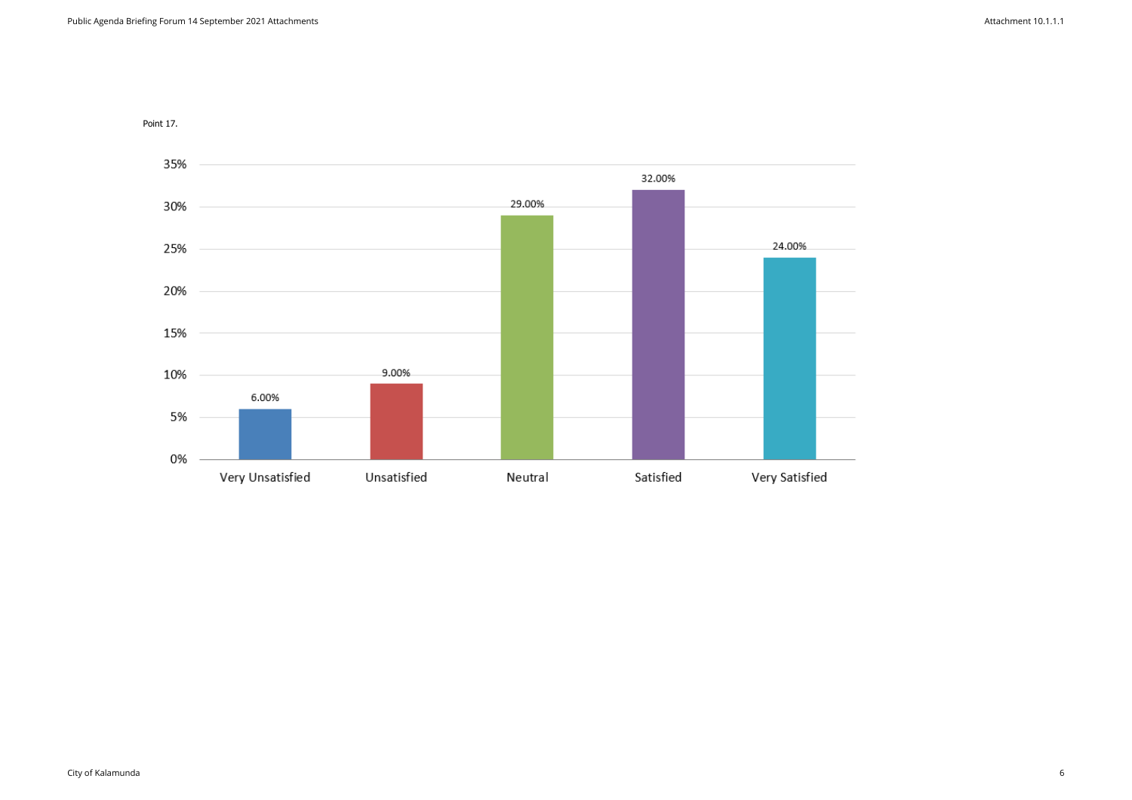

Point 17.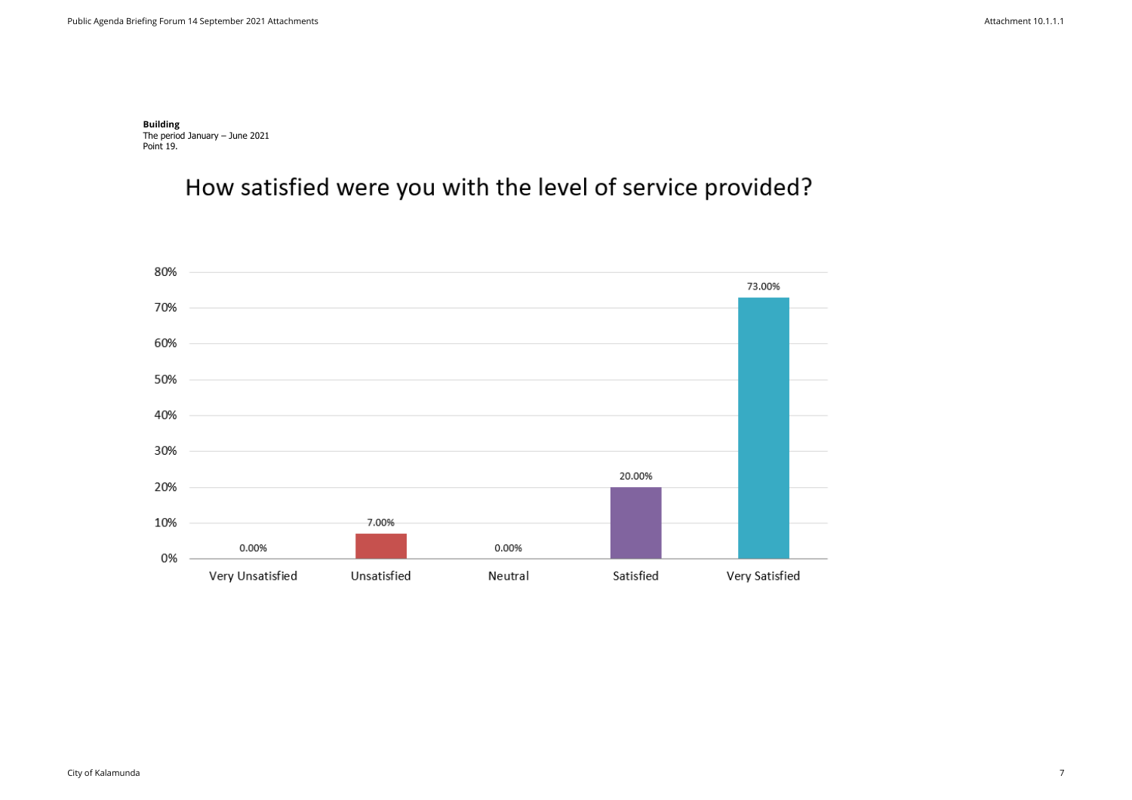**Building**  The period January – June 2021 Point 19.

How satisfied were you with the level of service provided?

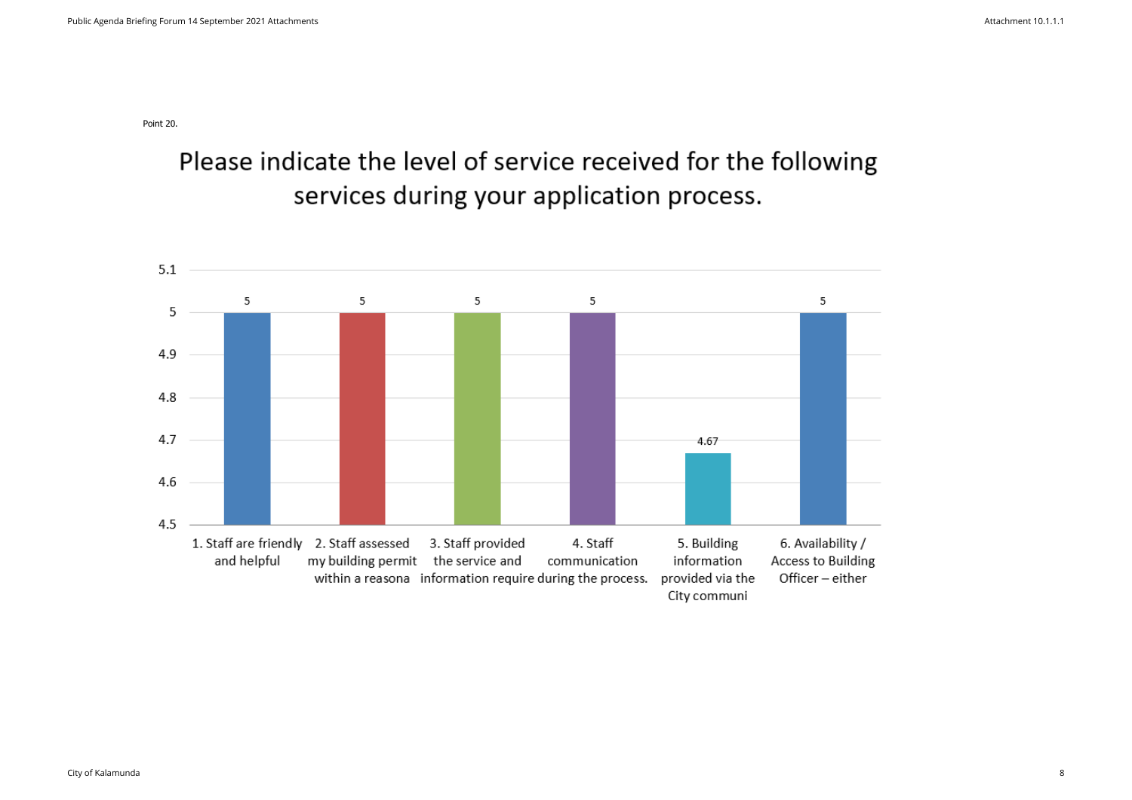Point 20.

Please indicate the level of service received for the following services during your application process.

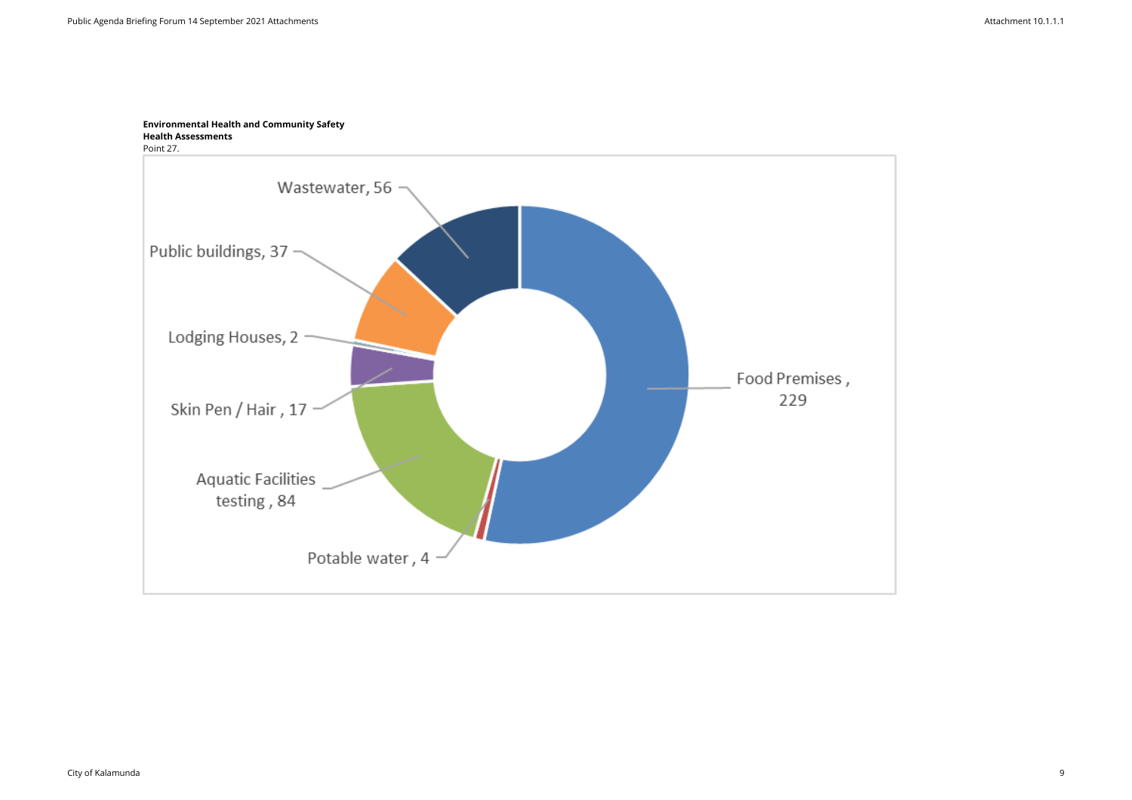# **Environmental Health and Community Safety Health Assessments**



City of Kalamunda 9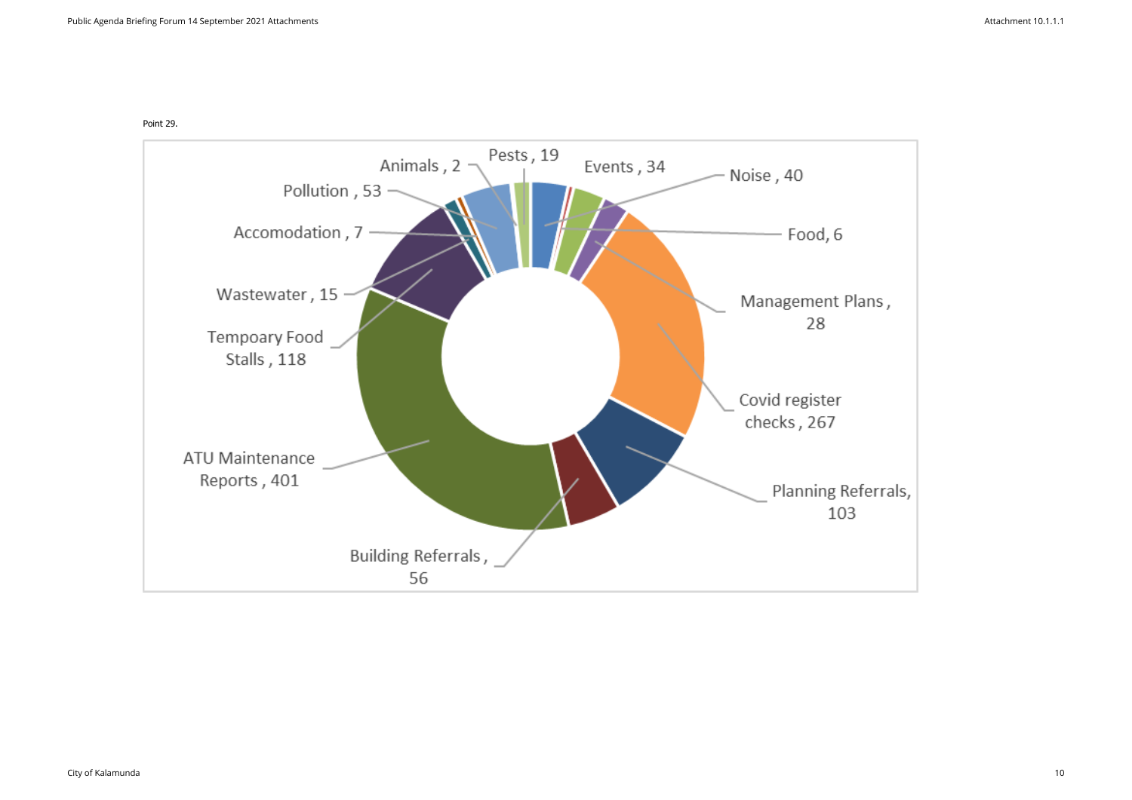

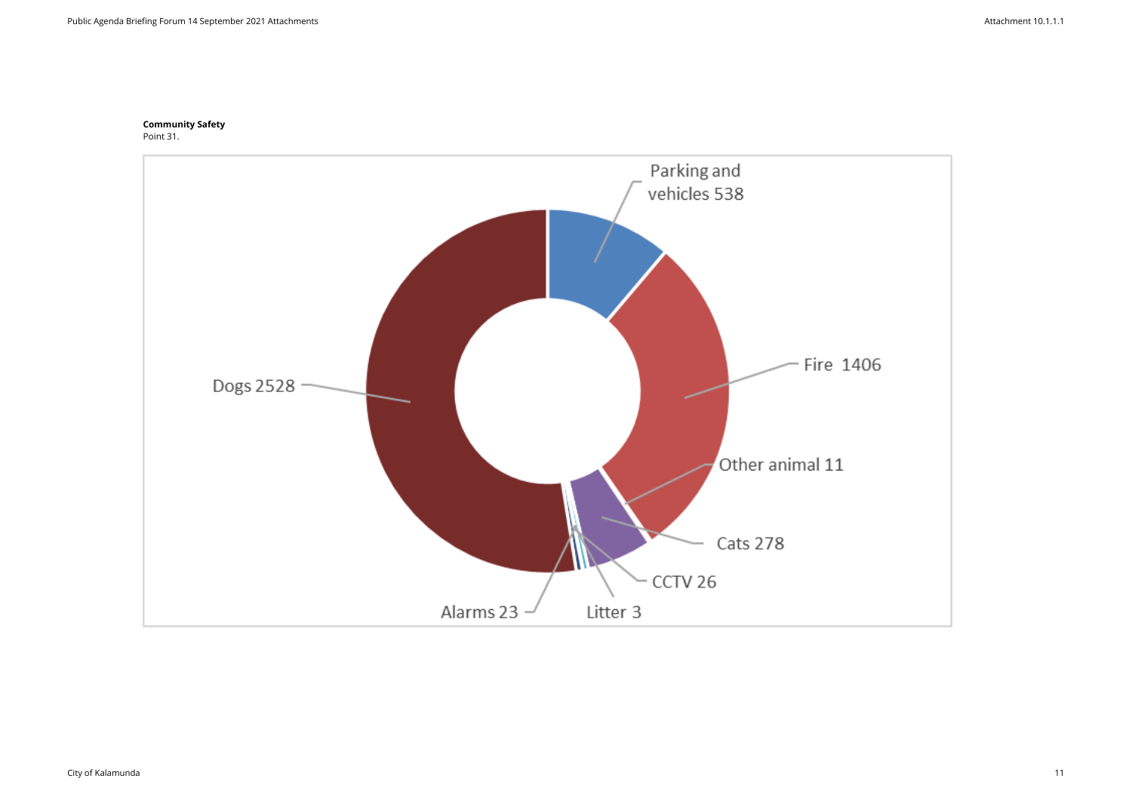## **Community Safety**  Point 31.